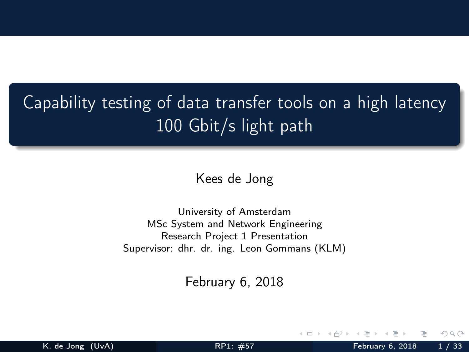# <span id="page-0-0"></span>Capability testing of data transfer tools on a high latency 100 Gbit/s light path

Kees de Jong

University of Amsterdam MSc System and Network Engineering Research Project 1 Presentation Supervisor: dhr. dr. ing. Leon Gommans (KLM)

February 6, 2018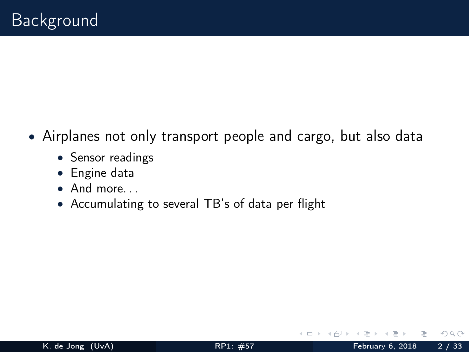- Airplanes not only transport people and cargo, but also data
	- Sensor readings
	- Engine data
	- And more. . .
	- Accumulating to several TB's of data per flight

 $\leftarrow$   $\Box$   $\rightarrow$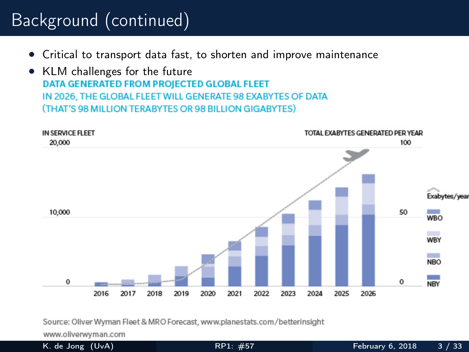# Background (continued)

- Critical to transport data fast, to shorten and improve maintenance
- KLM challenges for the future<br> **DATA GENERATED FROM PROJECTED GLOBAL FLEET** IN 2026, THE GLOBAL FLEET WILL GENERATE 98 EXABYTES OF DATA (THAT'S 98 MILLION TERABYTES OR 98 BILLION GIGABYTES)



Source: Oliver Wyman Fleet & MRO Forecast, www.planestats.com/betterinsight

www.oliverwyman.com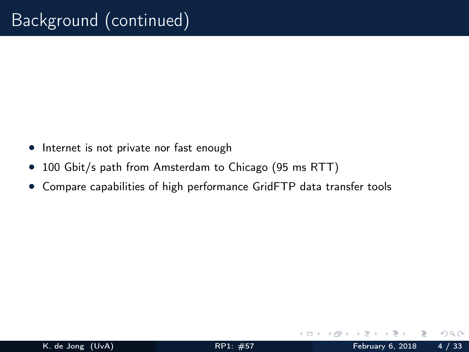- Internet is not private nor fast enough
- 100 Gbit/s path from Amsterdam to Chicago (95 ms RTT)
- Compare capabilities of high performance GridFTP data transfer tools

 $\leftarrow$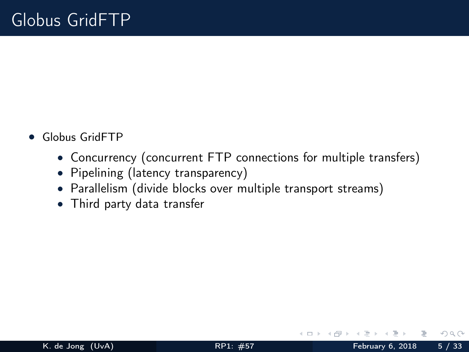- Globus GridFTP
	- Concurrency (concurrent FTP connections for multiple transfers)
	- Pipelining (latency transparency)
	- Parallelism (divide blocks over multiple transport streams)
	- Third party data transfer

 $\leftarrow$   $\Box$   $\rightarrow$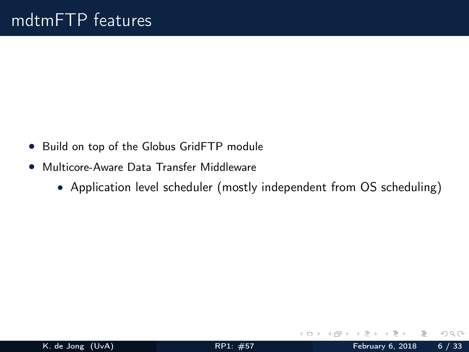- Build on top of the Globus GridFTP module
- Multicore-Aware Data Transfer Middleware
	- Application level scheduler (mostly independent from OS scheduling)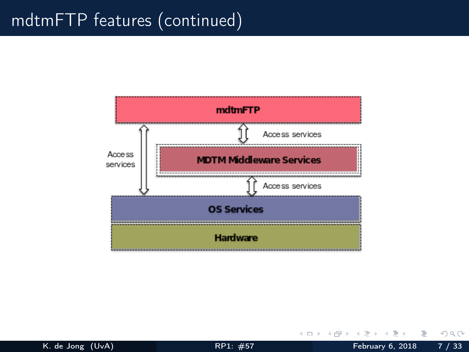## mdtmFTP features (continued)



K. de Jong (UvA) **[RP1: #57](#page-0-0)** February 6, 2018 7 / 33

目

イロト イ母 トイヨ トイヨ トー

 $QQQ$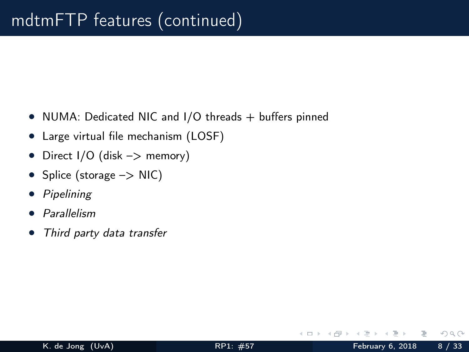- NUMA: Dedicated NIC and I/O threads + buffers pinned
- Large virtual file mechanism (LOSF)
- Direct  $1/O$  (disk  $->$  memory)
- Splice (storage  $->$  NIC)
- Pipelining
- Parallelism
- Third party data transfer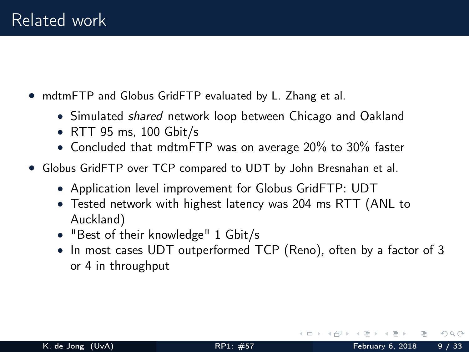- mdtmFTP and Globus GridFTP evaluated by L. Zhang et al.
	- Simulated *shared* network loop between Chicago and Oakland
	- RTT 95 ms, 100 Gbit/s
	- Concluded that mdtmFTP was on average 20% to 30% faster
- Globus GridFTP over TCP compared to UDT by John Bresnahan et al.
	- Application level improvement for Globus GridFTP: UDT
	- Tested network with highest latency was 204 ms RTT (ANL to Auckland)
	- "Best of their knowledge" 1 Gbit/s
	- In most cases UDT outperformed TCP (Reno), often by a factor of 3 or 4 in throughput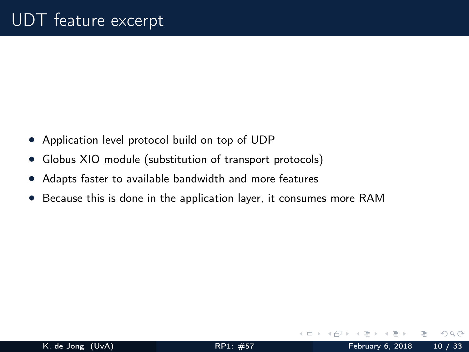- Application level protocol build on top of UDP
- Globus XIO module (substitution of transport protocols)
- Adapts faster to available bandwidth and more features
- Because this is done in the application layer, it consumes more RAM

 $\Omega$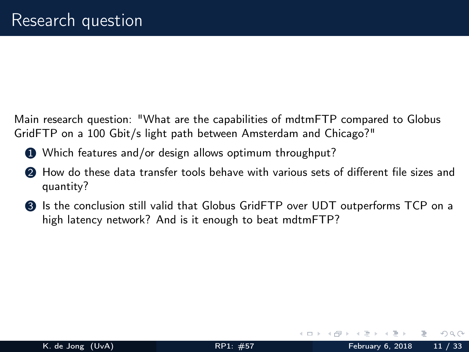Main research question: "What are the capabilities of mdtmFTP compared to Globus GridFTP on a 100 Gbit/s light path between Amsterdam and Chicago?"

- 1 Which features and/or design allows optimum throughput?
- 2 How do these data transfer tools behave with various sets of different file sizes and quantity?
- <sup>3</sup> Is the conclusion still valid that Globus GridFTP over UDT outperforms TCP on a high latency network? And is it enough to beat mdtmFTP?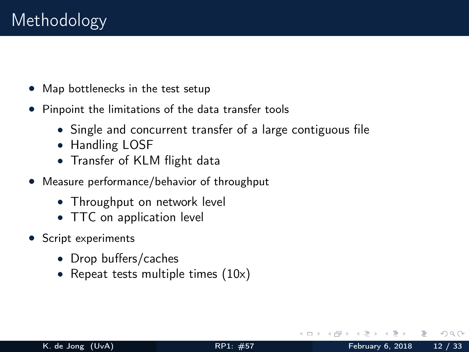- Map bottlenecks in the test setup
- Pinpoint the limitations of the data transfer tools
	- Single and concurrent transfer of a large contiguous file
	- Handling LOSF
	- Transfer of KLM flight data
- Measure performance/behavior of throughput
	- Throughput on network level
	- TTC on application level
- Script experiments
	- Drop buffers/caches
	- Repeat tests multiple times  $(10x)$

 $\Omega$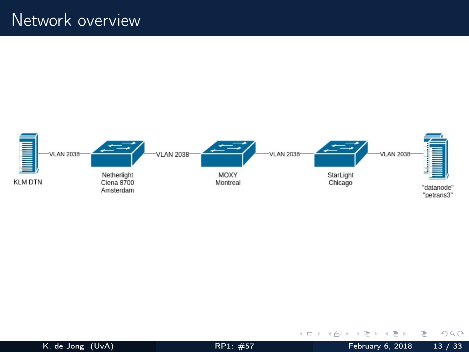

Ē.

 $OQ$ 

 $\mathbb{B} \rightarrow \mathbb{R} \oplus \mathbb{B}$ 

**K ロ ト K 倒 ト K**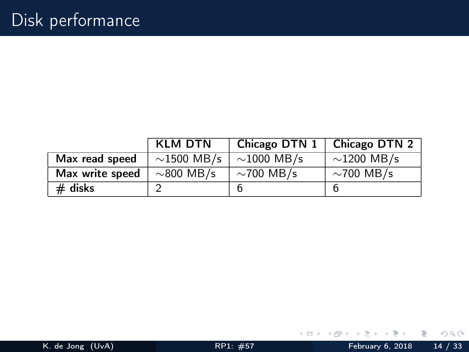|                 | <b>KLM DTN</b>   | Chicago DTN $1 \mid$ | Chicago DTN 2    |
|-----------------|------------------|----------------------|------------------|
| Max read speed  | $\sim$ 1500 MB/s | $\sim$ 1000 MB/s     | $\sim$ 1200 MB/s |
| Max write speed | $\sim$ 800 MB/s  | $\sim$ 700 MB/s      | $\sim$ 700 MB/s  |
| $#$ disks       |                  | b                    | b                |

Ξ

 $\vert \cdot \vert$  $\prec$ 

← ロ ▶ → 伊 ▶

目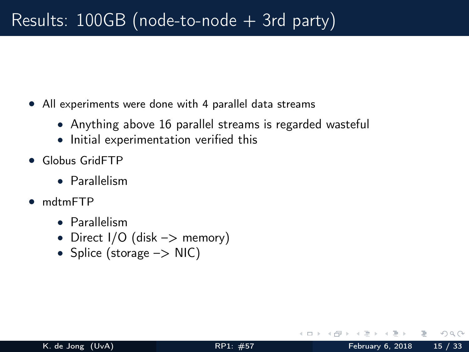- All experiments were done with 4 parallel data streams
	- Anything above 16 parallel streams is regarded wasteful
	- Initial experimentation verified this
- Globus GridFTP
	- Parallelism
- mdtmFTP
	- Parallelism
	- Direct  $1/O$  (disk  $->$  memory)
	- Splice (storage -> NIC)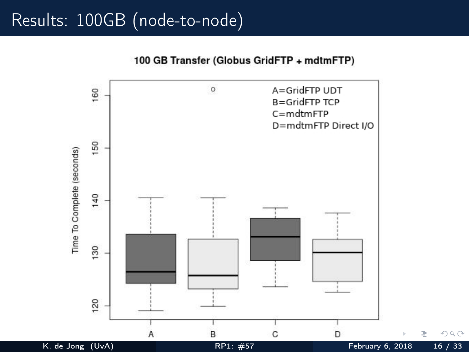## Results: 100GB (node-to-node)

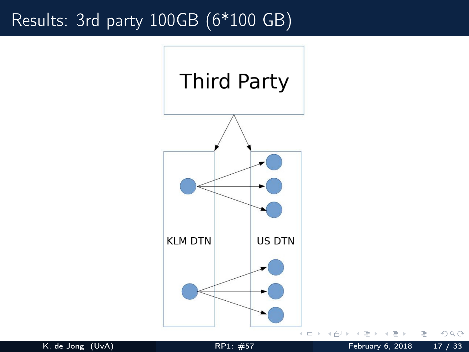## Results: 3rd party 100GB (6\*100 GB)



K. de Jong (UvA) [RP1: #57](#page-0-0) February 6, 2018 17 / 33

 $2Q$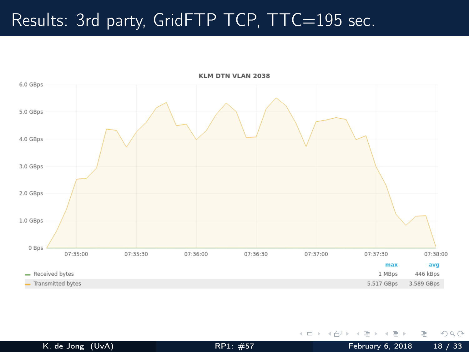## Results: 3rd party, GridFTP TCP, TTC=195 sec.



 $\rightarrow$   $\rightarrow$   $\equiv$   $\rightarrow$ K. de Jong (UvA) **[RP1: #57](#page-0-0)** February 6, 2018 18 / 33

 $\equiv$ 

 $\mathcal{A}$ 

← ロ ▶ → 伊 ▶

 $QQQ$ 

E.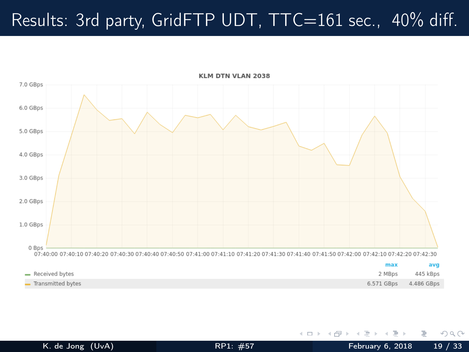# Results: 3rd party, GridFTP UDT,  $TTC=161$  sec., 40% diff.



E.

 $QQQ$ 

 $\rightarrow$   $\rightarrow$   $\equiv$   $\rightarrow$ 

 $\prec$ Ξ.

**∢ ロ ▶ - ィ 何 ▶**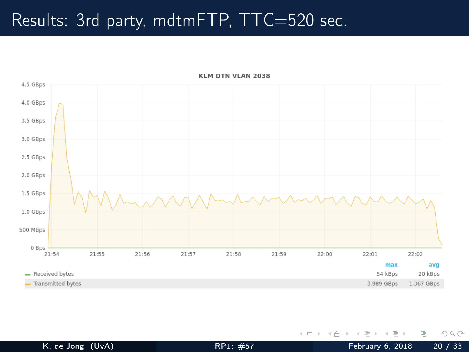## Results: 3rd party, mdtmFTP, TTC=520 sec.



#### KLM DTN VLAN 2038

÷.  $\mathbf{p}=\mathbf{q}$ 

 $\prec$ 

**∢ ロ ▶ - ィ 何 ▶** 

 $OQ$ 

B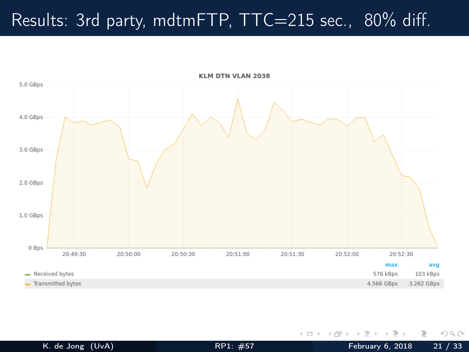# Results: 3rd party, mdtmFTP, TTC=215 sec., 80% diff.



 $\Xi$  + K. de Jong (UvA) **[RP1: #57](#page-0-0)** February 6, 2018 21 / 33

 $\mathbf{p}=\mathbf{q}$ 

 $\sim$ ÷

(□ ) (母 )

 $OQ$ 

B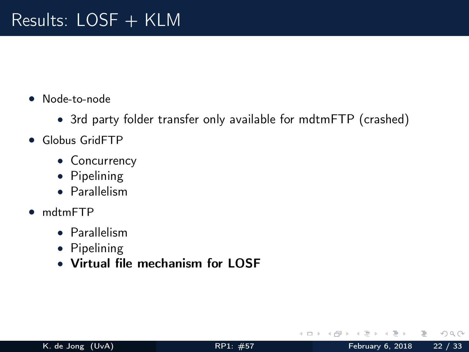- Node-to-node
	- 3rd party folder transfer only available for mdtmFTP (crashed)
- Globus GridFTP
	- Concurrency
	- Pipelining
	- Parallelism
- mdtmFTP
	- Parallelism
	- Pipelining
	- Virtual file mechanism for LOSF

 $\leftarrow$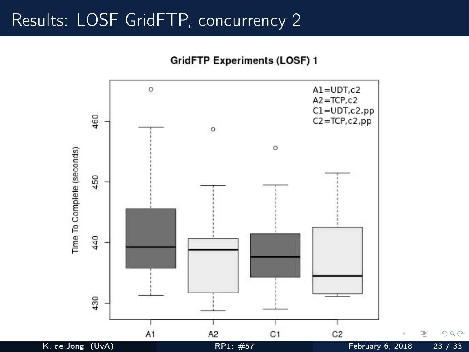#### Results: LOSF GridFTP, concurrency 2

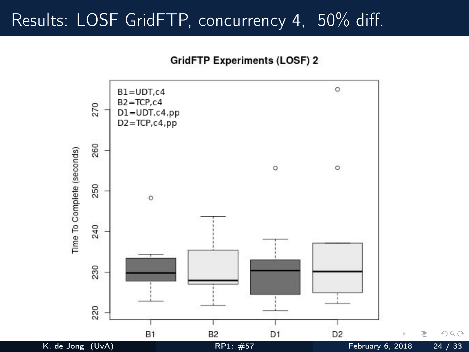### Results: LOSF GridFTP, concurrency 4, 50% diff.

**GridFTP Experiments (LOSF) 2** 

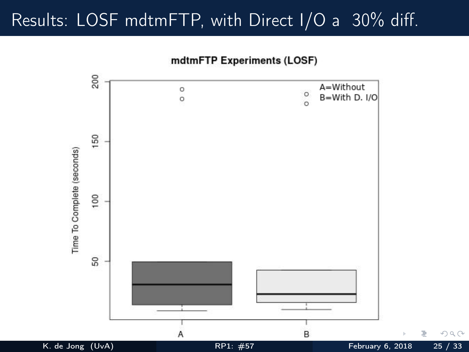## Results: LOSF mdtmFTP, with Direct I/O a 30% diff.

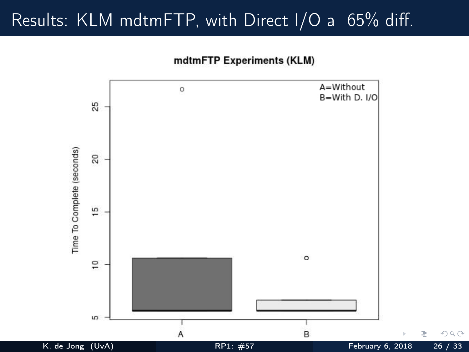## Results: KLM mdtmFTP, with Direct I/O a 65% diff.



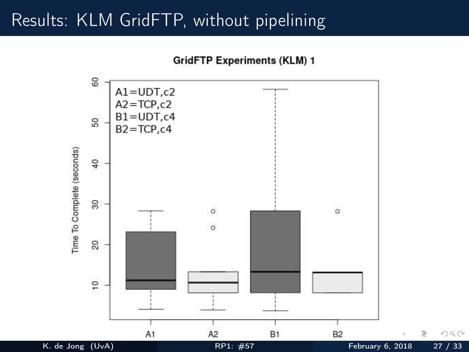## Results: KLM GridFTP, without pipelining

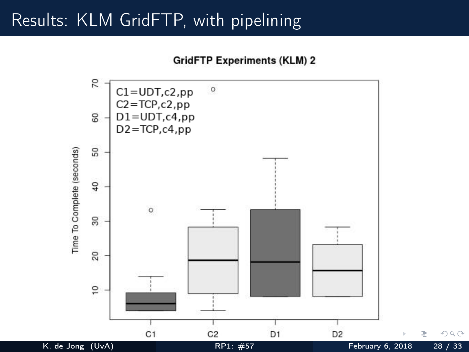## Results: KLM GridFTP, with pipelining

**GridFTP Experiments (KLM) 2** 

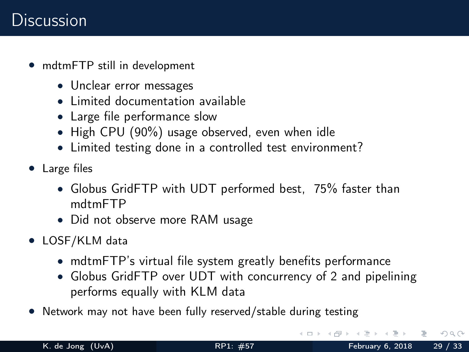### **Discussion**

- mdtmFTP still in development
	- Unclear error messages
	- Limited documentation available
	- Large file performance slow
	- High CPU (90%) usage observed, even when idle
	- Limited testing done in a controlled test environment?
- Large files
	- Globus GridFTP with UDT performed best, 75% faster than mdtmFTP
	- Did not observe more RAM usage
- LOSF/KLM data
	- mdtmFTP's virtual file system greatly benefits performance
	- Globus GridFTP over UDT with concurrency of 2 and pipelining performs equally with KLM data
- Network may not have been fully reserved/stable during testing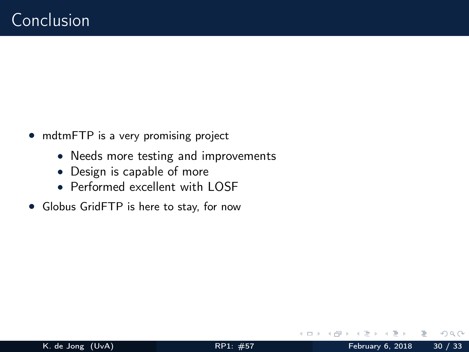- mdtmFTP is a very promising project
	- Needs more testing and improvements
	- Design is capable of more
	- Performed excellent with LOSE
- Globus GridFTP is here to stay, for now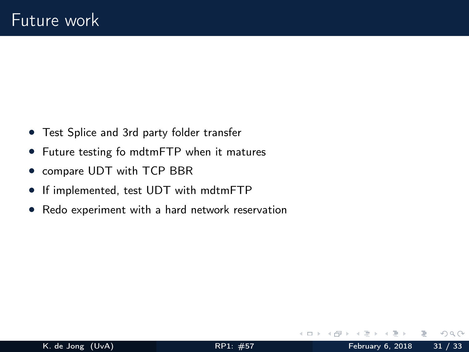- Test Splice and 3rd party folder transfer
- Future testing fo mdtmFTP when it matures
- compare UDT with TCP BBR
- If implemented, test UDT with mdtmFTP
- Redo experiment with a hard network reservation

 $\leftarrow$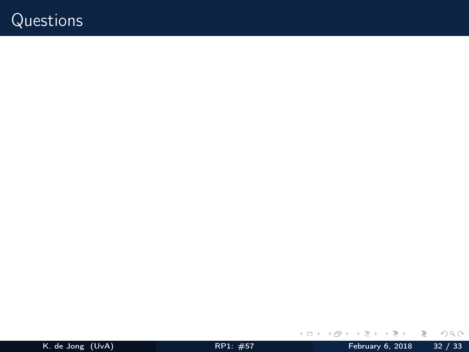### Questions

目

 $\mathcal{O}\subseteq\mathcal{O}$ 

 $\mathbb{R}^n \times \mathbb{R}^n \to \mathbb{R}$ 

÷.  $\prec$ 

**Kロト K倒下**